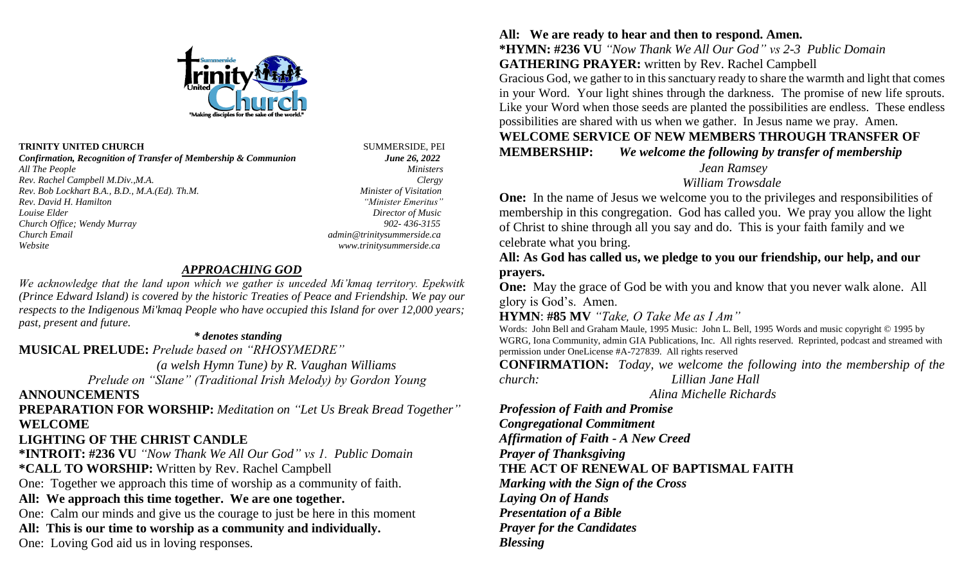

#### **TRINITY UNITED CHURCH** SUMMERSIDE, PEI

*Confirmation, Recognition of Transfer of Membership & Communion June 26, 2022 All The People Ministers Rev. Rachel Campbell M.Div.,M.A. Clergy Rev. Bob Lockhart B.A., B.D., M.A.(Ed). Th.M. Minister of Visitation Rev. David H. Hamilton "Minister Emeritus" Louise Elder* Director of Music *Director of Music Church Office; Wendy Murray 902- 436-3155 Church Email admin@trinitysummerside.ca Website www.trinitysummerside.ca*

#### *APPROACHING GOD*

*We acknowledge that the land upon which we gather is unceded Mi'kmaq territory. Epekwitk (Prince Edward Island) is covered by the historic Treaties of Peace and Friendship. We pay our respects to the Indigenous Mi'kmaq People who have occupied this Island for over 12,000 years; past, present and future.*

#### *\* denotes standing*

**MUSICAL PRELUDE:** *Prelude based on "RHOSYMEDRE"*

*(a welsh Hymn Tune) by R. Vaughan Williams* 

*Prelude on "Slane" (Traditional Irish Melody) by Gordon Young* 

## **ANNOUNCEMENTS**

**PREPARATION FOR WORSHIP:** *Meditation on "Let Us Break Bread Together"* **WELCOME**

## **LIGHTING OF THE CHRIST CANDLE**

**\*INTROIT: #236 VU** *"Now Thank We All Our God" vs 1. Public Domain*  **\*CALL TO WORSHIP:** Written by Rev. Rachel Campbell

One: Together we approach this time of worship as a community of faith.

## **All: We approach this time together. We are one together.**

One: Calm our minds and give us the courage to just be here in this moment

## **All: This is our time to worship as a community and individually.**

One: Loving God aid us in loving responses.

# **All: We are ready to hear and then to respond. Amen.**

**\*HYMN: #236 VU** *"Now Thank We All Our God" vs 2-3 Public Domain* **GATHERING PRAYER:** written by Rev. Rachel Campbell

Gracious God, we gather to in this sanctuary ready to share the warmth and light that comes in your Word. Your light shines through the darkness. The promise of new life sprouts. Like your Word when those seeds are planted the possibilities are endless. These endless possibilities are shared with us when we gather. In Jesus name we pray. Amen.

## **WELCOME SERVICE OF NEW MEMBERS THROUGH TRANSFER OF MEMBERSHIP:** *We welcome the following by transfer of membership*

 *Jean Ramsey* 

## *William Trowsdale*

**One:** In the name of Jesus we welcome you to the privileges and responsibilities of membership in this congregation. God has called you. We pray you allow the light of Christ to shine through all you say and do. This is your faith family and we celebrate what you bring.

**All: As God has called us, we pledge to you our friendship, our help, and our prayers.** 

**One:** May the grace of God be with you and know that you never walk alone. All glory is God's. Amen.

## **HYMN**: **#85 MV** *"Take, O Take Me as I Am"*

Words: John Bell and Graham Maule, 1995 Music: John L. Bell, 1995 Words and music copyright © 1995 by WGRG, Iona Community, admin GIA Publications, Inc. All rights reserved. Reprinted, podcast and streamed with permission under OneLicense #A-727839. All rights reserved

**CONFIRMATION:** *Today, we welcome the following into the membership of the church: Lillian Jane Hall*

 *Alina Michelle Richards*

*Profession of Faith and Promise Congregational Commitment Affirmation of Faith - A New Creed Prayer of Thanksgiving* **THE ACT OF RENEWAL OF BAPTISMAL FAITH** *Marking with the Sign of the Cross Laying On of Hands Presentation of a Bible Prayer for the Candidates Blessing*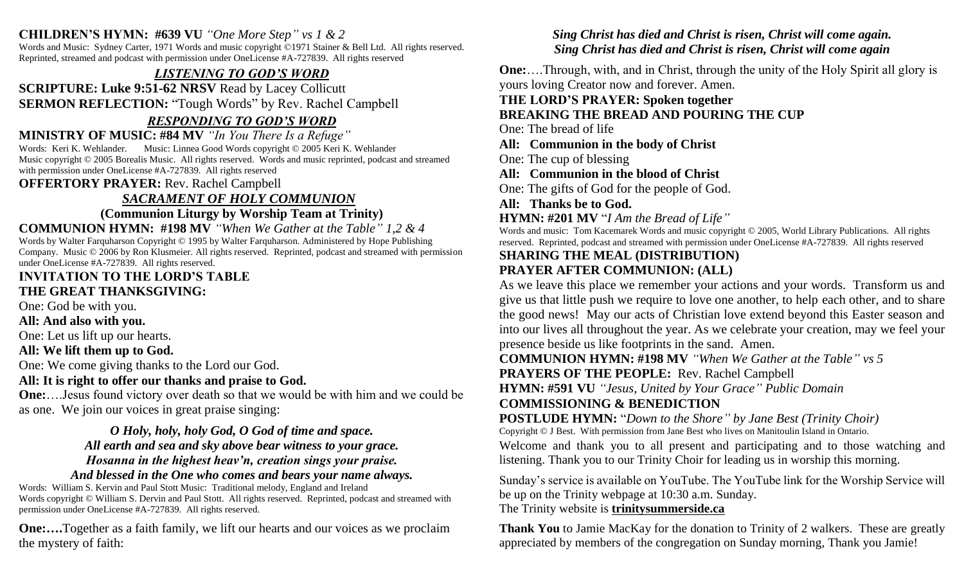## **CHILDREN'S HYMN: #639 VU** *"One More Step" vs 1 & 2*

Words and Music: Sydney Carter, 1971 Words and music copyright ©1971 Stainer & Bell Ltd. All rights reserved. Reprinted, streamed and podcast with permission under OneLicense #A-727839. All rights reserved

## *LISTENING TO GOD'S WORD*

**SCRIPTURE: Luke 9:51-62 NRSV** Read by Lacey Collicutt **SERMON REFLECTION:** "Tough Words" by Rev. Rachel Campbell

## *RESPONDING TO GOD'S WORD*

**MINISTRY OF MUSIC: #84 MV** *"In You There Is a Refuge"* 

Words: Keri K. Wehlander. Music: Linnea Good Words copyright © 2005 Keri K. Wehlander Music copyright © 2005 Borealis Music. All rights reserved. Words and music reprinted, podcast and streamed with permission under OneLicense #A-727839. All rights reserved

**OFFERTORY PRAYER:** Rev. Rachel Campbell

## *SACRAMENT OF HOLY COMMUNION*

**(Communion Liturgy by Worship Team at Trinity)**

**COMMUNION HYMN: #198 MV** *"When We Gather at the Table" 1,2 & 4* Words by Walter Farquharson Copyright © 1995 by Walter Farquharson. Administered by Hope Publishing Company. Music © 2006 by Ron Klusmeier. All rights reserved. Reprinted, podcast and streamed with permission under OneLicense #A-727839. All rights reserved.

#### **INVITATION TO THE LORD'S TABLE THE GREAT THANKSGIVING:**

One: God be with you.

**All: And also with you.**

One: Let us lift up our hearts.

## **All: We lift them up to God.**

One: We come giving thanks to the Lord our God.

## **All: It is right to offer our thanks and praise to God.**

**One:**….Jesus found victory over death so that we would be with him and we could be as one. We join our voices in great praise singing:

> *O Holy, holy, holy God, O God of time and space. All earth and sea and sky above bear witness to your grace. Hosanna in the highest heav'n, creation sings your praise.*

## *And blessed in the One who comes and bears your name always.*

Words: William S. Kervin and Paul Stott Music: Traditional melody, England and Ireland Words copyright © William S. Dervin and Paul Stott. All rights reserved. Reprinted, podcast and streamed with permission under OneLicense #A-727839. All rights reserved.

**One:....**Together as a faith family, we lift our hearts and our voices as we proclaim the mystery of faith:

## *Sing Christ has died and Christ is risen, Christ will come again. Sing Christ has died and Christ is risen, Christ will come again*

**One:**….Through, with, and in Christ, through the unity of the Holy Spirit all glory is yours loving Creator now and forever. Amen.

## **THE LORD'S PRAYER: Spoken together**

## **BREAKING THE BREAD AND POURING THE CUP**

One: The bread of life

**All: Communion in the body of Christ**

One: The cup of blessing

**All: Communion in the blood of Christ**

One: The gifts of God for the people of God.

**All: Thanks be to God.**

**HYMN: #201 MV** "*I Am the Bread of Life"*

Words and music: Tom Kacemarek Words and music copyright © 2005, World Library Publications. All rights reserved. Reprinted, podcast and streamed with permission under OneLicense #A-727839. All rights reserved

### **SHARING THE MEAL (DISTRIBUTION) PRAYER AFTER COMMUNION: (ALL)**

As we leave this place we remember your actions and your words. Transform us and give us that little push we require to love one another, to help each other, and to share the good news! May our acts of Christian love extend beyond this Easter season and into our lives all throughout the year. As we celebrate your creation, may we feel your presence beside us like footprints in the sand. Amen.

**COMMUNION HYMN: #198 MV** *"When We Gather at the Table" vs 5* **PRAYERS OF THE PEOPLE:** Rev. Rachel Campbell

**HYMN: #591 VU** *"Jesus, United by Your Grace" Public Domain* 

## **COMMISSIONING & BENEDICTION**

**POSTLUDE HYMN:** "*Down to the Shore" by Jane Best (Trinity Choir)* Copyright © J Best. With permission from Jane Best who lives on Manitoulin Island in Ontario.

Welcome and thank you to all present and participating and to those watching and listening. Thank you to our Trinity Choir for leading us in worship this morning.

Sunday's service is available on YouTube. The YouTube link for the Worship Service will be up on the Trinity webpage at 10:30 a.m. Sunday.

## The Trinity website is **trinitysummerside.ca**

**Thank You** to Jamie MacKay for the donation to Trinity of 2 walkers. These are greatly appreciated by members of the congregation on Sunday morning, Thank you Jamie!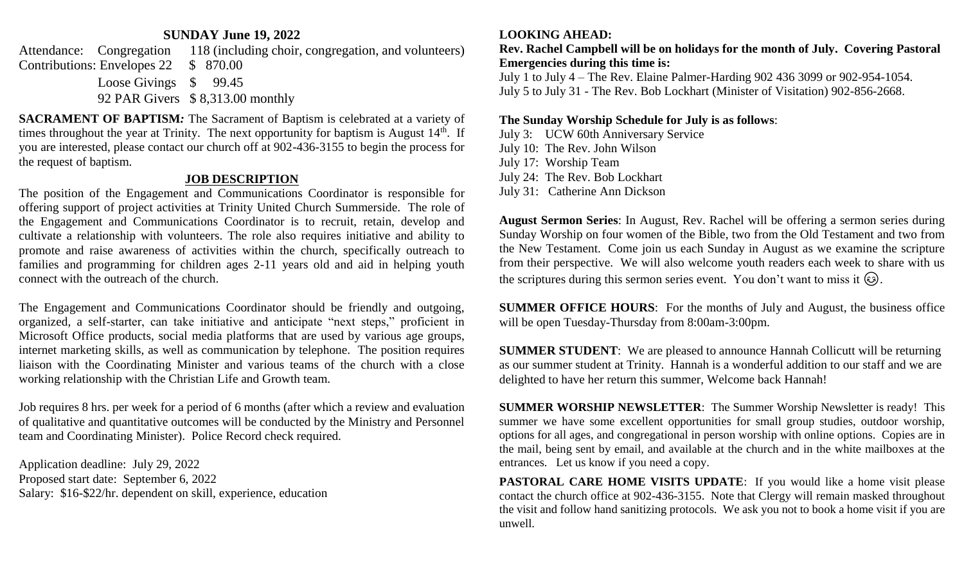#### **SUNDAY June 19, 2022**

Attendance: Congregation 118 (including choir, congregation, and volunteers) Contributions: Envelopes 22 \$ 870.00 Loose Givings  $$99.45$ 92 PAR Givers \$ 8,313.00 monthly

**SACRAMENT OF BAPTISM***:* The Sacrament of Baptism is celebrated at a variety of times throughout the year at Trinity. The next opportunity for baptism is August  $14<sup>th</sup>$ . If you are interested, please contact our church off at 902-436-3155 to begin the process for the request of baptism.

#### **JOB DESCRIPTION**

The position of the Engagement and Communications Coordinator is responsible for offering support of project activities at Trinity United Church Summerside. The role of the Engagement and Communications Coordinator is to recruit, retain, develop and cultivate a relationship with volunteers. The role also requires initiative and ability to promote and raise awareness of activities within the church, specifically outreach to families and programming for children ages 2-11 years old and aid in helping youth connect with the outreach of the church.

The Engagement and Communications Coordinator should be friendly and outgoing, organized, a self-starter, can take initiative and anticipate "next steps," proficient in Microsoft Office products, social media platforms that are used by various age groups, internet marketing skills, as well as communication by telephone. The position requires liaison with the Coordinating Minister and various teams of the church with a close working relationship with the Christian Life and Growth team.

Job requires 8 hrs. per week for a period of 6 months (after which a review and evaluation of qualitative and quantitative outcomes will be conducted by the Ministry and Personnel team and Coordinating Minister). Police Record check required.

Application deadline: July 29, 2022 Proposed start date: September 6, 2022 Salary: \$16-\$22/hr. dependent on skill, experience, education

#### **LOOKING AHEAD:**

**Rev. Rachel Campbell will be on holidays for the month of July. Covering Pastoral Emergencies during this time is:**

July 1 to July 4 – The Rev. Elaine Palmer-Harding 902 436 3099 or 902-954-1054. July 5 to July 31 - The Rev. Bob Lockhart (Minister of Visitation) 902-856-2668.

#### **The Sunday Worship Schedule for July is as follows**:

July 3: UCW 60th Anniversary Service July 10: The Rev. John Wilson July 17: Worship Team July 24: The Rev. Bob Lockhart July 31: Catherine Ann Dickson

**August Sermon Series**: In August, Rev. Rachel will be offering a sermon series during Sunday Worship on four women of the Bible, two from the Old Testament and two from the New Testament. Come join us each Sunday in August as we examine the scripture from their perspective. We will also welcome youth readers each week to share with us the scriptures during this sermon series event. You don't want to miss it  $\odot$ .

**SUMMER OFFICE HOURS**: For the months of July and August, the business office will be open Tuesday-Thursday from 8:00am-3:00pm.

**SUMMER STUDENT**: We are pleased to announce Hannah Collicutt will be returning as our summer student at Trinity. Hannah is a wonderful addition to our staff and we are delighted to have her return this summer, Welcome back Hannah!

**SUMMER WORSHIP NEWSLETTER**: The Summer Worship Newsletter is ready! This summer we have some excellent opportunities for small group studies, outdoor worship, options for all ages, and congregational in person worship with online options. Copies are in the mail, being sent by email, and available at the church and in the white mailboxes at the entrances. Let us know if you need a copy.

**PASTORAL CARE HOME VISITS UPDATE:** If you would like a home visit please contact the church office at 902-436-3155. Note that Clergy will remain masked throughout the visit and follow hand sanitizing protocols. We ask you not to book a home visit if you are unwell.